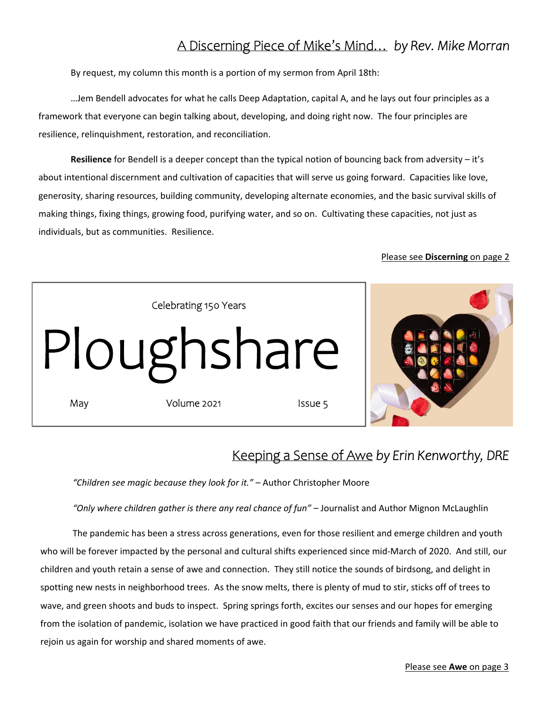## A Discerning Piece of Mike's Mind… *by Rev. Mike Morran*

By request, my column this month is a portion of my sermon from April 18th:

 …Jem Bendell advocates for what he calls Deep Adaptation, capital A, and he lays out four principles as a framework that everyone can begin talking about, developing, and doing right now. The four principles are resilience, relinquishment, restoration, and reconciliation.

**Resilience** for Bendell is a deeper concept than the typical notion of bouncing back from adversity – it's about intentional discernment and cultivation of capacities that will serve us going forward. Capacities like love, generosity, sharing resources, building community, developing alternate economies, and the basic survival skills of making things, fixing things, growing food, purifying water, and so on. Cultivating these capacities, not just as individuals, but as communities. Resilience.

#### Please see **Discerning** on page 2



### Keeping a Sense of Awe *by Erin Kenworthy, DRE*

*"Children see magic because they look for it."* – Author Christopher Moore

*"Only where children gather is there any real chance of fun"* – Journalist and Author Mignon McLaughlin

The pandemic has been a stress across generations, even for those resilient and emerge children and youth who will be forever impacted by the personal and cultural shifts experienced since mid-March of 2020. And still, our children and youth retain a sense of awe and connection. They still notice the sounds of birdsong, and delight in spotting new nests in neighborhood trees. As the snow melts, there is plenty of mud to stir, sticks off of trees to wave, and green shoots and buds to inspect. Spring springs forth, excites our senses and our hopes for emerging from the isolation of pandemic, isolation we have practiced in good faith that our friends and family will be able to rejoin us again for worship and shared moments of awe.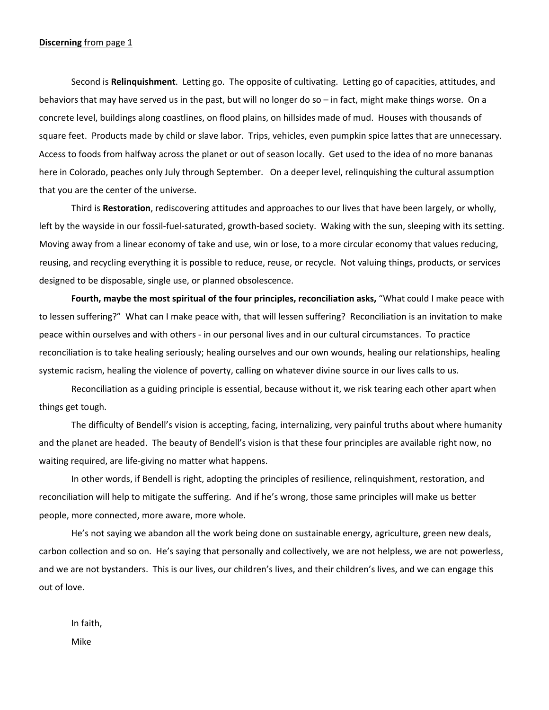#### **Discerning** from page 1

Second is **Relinquishment**. Letting go. The opposite of cultivating. Letting go of capacities, attitudes, and behaviors that may have served us in the past, but will no longer do so – in fact, might make things worse. On a concrete level, buildings along coastlines, on flood plains, on hillsides made of mud. Houses with thousands of square feet. Products made by child or slave labor. Trips, vehicles, even pumpkin spice lattes that are unnecessary. Access to foods from halfway across the planet or out of season locally. Get used to the idea of no more bananas here in Colorado, peaches only July through September. On a deeper level, relinquishing the cultural assumption that you are the center of the universe.

Third is **Restoration**, rediscovering attitudes and approaches to our lives that have been largely, or wholly, left by the wayside in our fossil-fuel-saturated, growth-based society. Waking with the sun, sleeping with its setting. Moving away from a linear economy of take and use, win or lose, to a more circular economy that values reducing, reusing, and recycling everything it is possible to reduce, reuse, or recycle. Not valuing things, products, or services designed to be disposable, single use, or planned obsolescence.

**Fourth, maybe the most spiritual of the four principles, reconciliation asks,** "What could I make peace with to lessen suffering?" What can I make peace with, that will lessen suffering? Reconciliation is an invitation to make peace within ourselves and with others ‐ in our personal lives and in our cultural circumstances. To practice reconciliation is to take healing seriously; healing ourselves and our own wounds, healing our relationships, healing systemic racism, healing the violence of poverty, calling on whatever divine source in our lives calls to us.

Reconciliation as a guiding principle is essential, because without it, we risk tearing each other apart when things get tough.

The difficulty of Bendell's vision is accepting, facing, internalizing, very painful truths about where humanity and the planet are headed. The beauty of Bendell's vision is that these four principles are available right now, no waiting required, are life‐giving no matter what happens.

In other words, if Bendell is right, adopting the principles of resilience, relinquishment, restoration, and reconciliation will help to mitigate the suffering. And if he's wrong, those same principles will make us better people, more connected, more aware, more whole.

He's not saying we abandon all the work being done on sustainable energy, agriculture, green new deals, carbon collection and so on. He's saying that personally and collectively, we are not helpless, we are not powerless, and we are not bystanders. This is our lives, our children's lives, and their children's lives, and we can engage this out of love.

In faith, Mike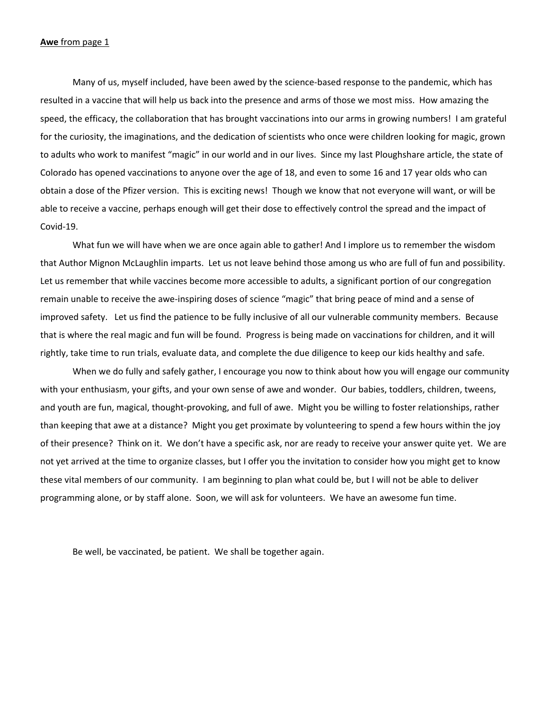#### **Awe** from page 1

Many of us, myself included, have been awed by the science‐based response to the pandemic, which has resulted in a vaccine that will help us back into the presence and arms of those we most miss. How amazing the speed, the efficacy, the collaboration that has brought vaccinations into our arms in growing numbers! I am grateful for the curiosity, the imaginations, and the dedication of scientists who once were children looking for magic, grown to adults who work to manifest "magic" in our world and in our lives. Since my last Ploughshare article, the state of Colorado has opened vaccinations to anyone over the age of 18, and even to some 16 and 17 year olds who can obtain a dose of the Pfizer version. This is exciting news! Though we know that not everyone will want, or will be able to receive a vaccine, perhaps enough will get their dose to effectively control the spread and the impact of Covid‐19.

What fun we will have when we are once again able to gather! And I implore us to remember the wisdom that Author Mignon McLaughlin imparts. Let us not leave behind those among us who are full of fun and possibility. Let us remember that while vaccines become more accessible to adults, a significant portion of our congregation remain unable to receive the awe‐inspiring doses of science "magic" that bring peace of mind and a sense of improved safety. Let us find the patience to be fully inclusive of all our vulnerable community members. Because that is where the real magic and fun will be found. Progress is being made on vaccinations for children, and it will rightly, take time to run trials, evaluate data, and complete the due diligence to keep our kids healthy and safe.

When we do fully and safely gather, I encourage you now to think about how you will engage our community with your enthusiasm, your gifts, and your own sense of awe and wonder. Our babies, toddlers, children, tweens, and youth are fun, magical, thought‐provoking, and full of awe. Might you be willing to foster relationships, rather than keeping that awe at a distance? Might you get proximate by volunteering to spend a few hours within the joy of their presence? Think on it. We don't have a specific ask, nor are ready to receive your answer quite yet. We are not yet arrived at the time to organize classes, but I offer you the invitation to consider how you might get to know these vital members of our community. I am beginning to plan what could be, but I will not be able to deliver programming alone, or by staff alone. Soon, we will ask for volunteers. We have an awesome fun time.

Be well, be vaccinated, be patient. We shall be together again.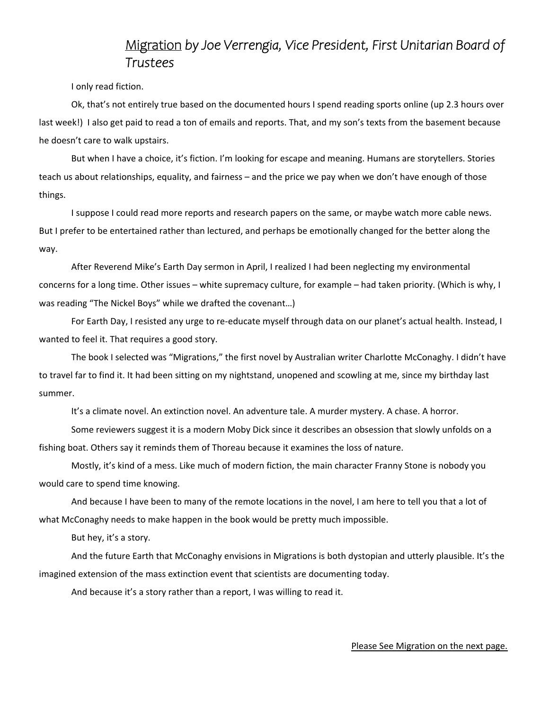### Migration *by Joe Verrengia, Vice President, First Unitarian Board of Trustees*

I only read fiction.

Ok, that's not entirely true based on the documented hours I spend reading sports online (up 2.3 hours over last week!) I also get paid to read a ton of emails and reports. That, and my son's texts from the basement because he doesn't care to walk upstairs.

But when I have a choice, it's fiction. I'm looking for escape and meaning. Humans are storytellers. Stories teach us about relationships, equality, and fairness – and the price we pay when we don't have enough of those things.

I suppose I could read more reports and research papers on the same, or maybe watch more cable news. But I prefer to be entertained rather than lectured, and perhaps be emotionally changed for the better along the way.

After Reverend Mike's Earth Day sermon in April, I realized I had been neglecting my environmental concerns for a long time. Other issues – white supremacy culture, for example – had taken priority. (Which is why, I was reading "The Nickel Boys" while we drafted the covenant…)

For Earth Day, I resisted any urge to re‐educate myself through data on our planet's actual health. Instead, I wanted to feel it. That requires a good story.

The book I selected was "Migrations," the first novel by Australian writer Charlotte McConaghy. I didn't have to travel far to find it. It had been sitting on my nightstand, unopened and scowling at me, since my birthday last summer.

It's a climate novel. An extinction novel. An adventure tale. A murder mystery. A chase. A horror.

Some reviewers suggest it is a modern Moby Dick since it describes an obsession that slowly unfolds on a fishing boat. Others say it reminds them of Thoreau because it examines the loss of nature.

Mostly, it's kind of a mess. Like much of modern fiction, the main character Franny Stone is nobody you would care to spend time knowing.

And because I have been to many of the remote locations in the novel, I am here to tell you that a lot of what McConaghy needs to make happen in the book would be pretty much impossible.

But hey, it's a story.

And the future Earth that McConaghy envisions in Migrations is both dystopian and utterly plausible. It's the imagined extension of the mass extinction event that scientists are documenting today.

And because it's a story rather than a report, I was willing to read it.

Please See Migration on the next page.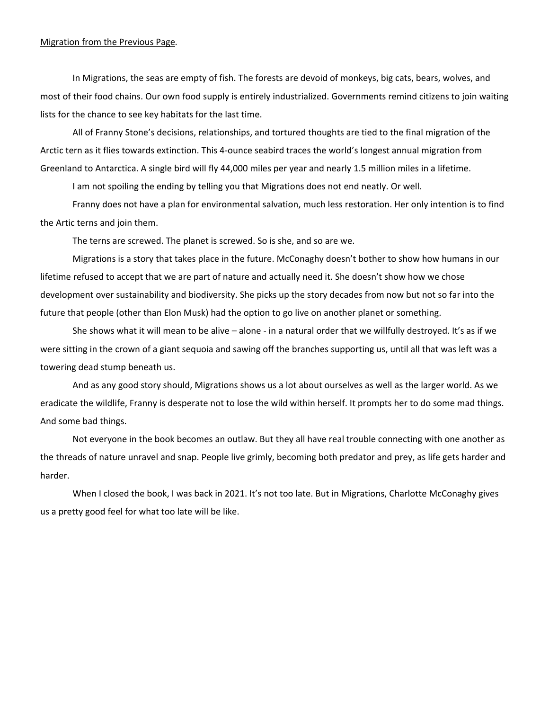#### Migration from the Previous Page*.*

In Migrations, the seas are empty of fish. The forests are devoid of monkeys, big cats, bears, wolves, and most of their food chains. Our own food supply is entirely industrialized. Governments remind citizens to join waiting lists for the chance to see key habitats for the last time.

All of Franny Stone's decisions, relationships, and tortured thoughts are tied to the final migration of the Arctic tern as it flies towards extinction. This 4‐ounce seabird traces the world's longest annual migration from Greenland to Antarctica. A single bird will fly 44,000 miles per year and nearly 1.5 million miles in a lifetime.

I am not spoiling the ending by telling you that Migrations does not end neatly. Or well.

Franny does not have a plan for environmental salvation, much less restoration. Her only intention is to find the Artic terns and join them.

The terns are screwed. The planet is screwed. So is she, and so are we.

Migrations is a story that takes place in the future. McConaghy doesn't bother to show how humans in our lifetime refused to accept that we are part of nature and actually need it. She doesn't show how we chose development over sustainability and biodiversity. She picks up the story decades from now but not so far into the future that people (other than Elon Musk) had the option to go live on another planet or something.

She shows what it will mean to be alive – alone ‐ in a natural order that we willfully destroyed. It's as if we were sitting in the crown of a giant sequoia and sawing off the branches supporting us, until all that was left was a towering dead stump beneath us.

And as any good story should, Migrations shows us a lot about ourselves as well as the larger world. As we eradicate the wildlife, Franny is desperate not to lose the wild within herself. It prompts her to do some mad things. And some bad things.

Not everyone in the book becomes an outlaw. But they all have real trouble connecting with one another as the threads of nature unravel and snap. People live grimly, becoming both predator and prey, as life gets harder and harder.

When I closed the book, I was back in 2021. It's not too late. But in Migrations, Charlotte McConaghy gives us a pretty good feel for what too late will be like.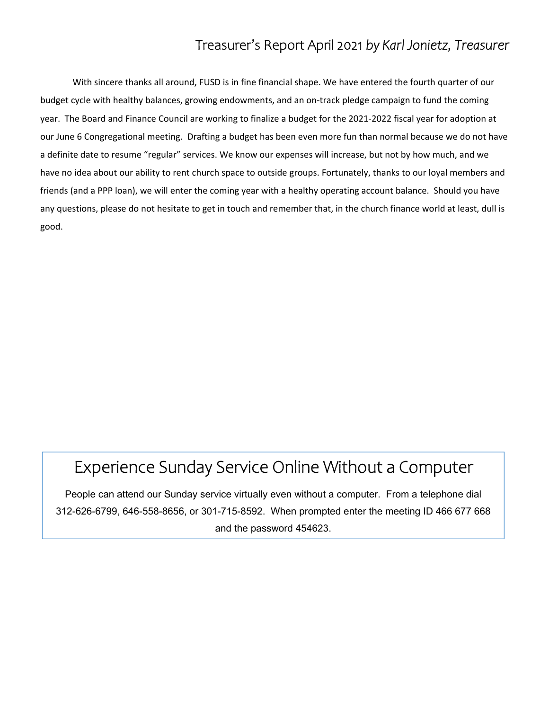## Treasurer's Report April 2021 *by Karl Jonietz, Treasurer*

 With sincere thanks all around, FUSD is in fine financial shape. We have entered the fourth quarter of our budget cycle with healthy balances, growing endowments, and an on‐track pledge campaign to fund the coming year. The Board and Finance Council are working to finalize a budget for the 2021‐2022 fiscal year for adoption at our June 6 Congregational meeting. Drafting a budget has been even more fun than normal because we do not have a definite date to resume "regular" services. We know our expenses will increase, but not by how much, and we have no idea about our ability to rent church space to outside groups. Fortunately, thanks to our loyal members and friends (and a PPP loan), we will enter the coming year with a healthy operating account balance. Should you have any questions, please do not hesitate to get in touch and remember that, in the church finance world at least, dull is good.

# Experience Sunday Service Online Without a Computer

People can attend our Sunday service virtually even without a computer. From a telephone dial 312-626-6799, 646-558-8656, or 301-715-8592. When prompted enter the meeting ID 466 677 668 and the password 454623.